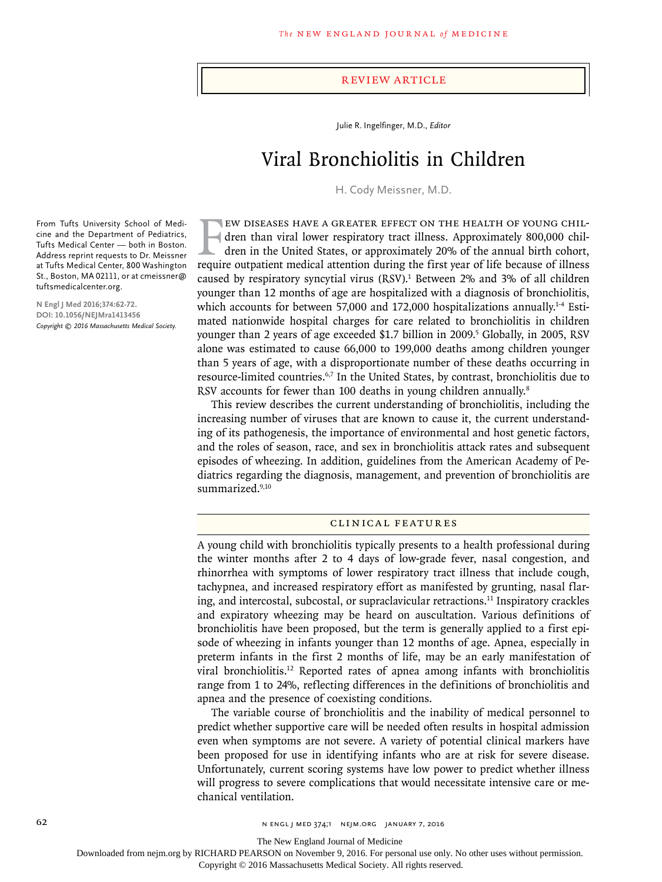## Review Article

Julie R. Ingelfinger, M.D., *Editor*

# Viral Bronchiolitis in Children

H. Cody Meissner, M.D.

EW DISEASES HAVE A GREATER EFFECT ON THE HEALTH OF YOUNG CHIL-<br>dren than viral lower respiratory tract illness. Approximately 800,000 chil-<br>dren in the United States, or approximately 20% of the annual birth cohort,<br>requir ew diseases have a greater effect on the health of young children than viral lower respiratory tract illness. Approximately 800,000 children in the United States, or approximately 20% of the annual birth cohort, caused by respiratory syncytial virus (RSV).<sup>1</sup> Between 2% and 3% of all children younger than 12 months of age are hospitalized with a diagnosis of bronchiolitis, which accounts for between 57,000 and 172,000 hospitalizations annually.<sup>1-4</sup> Estimated nationwide hospital charges for care related to bronchiolitis in children younger than 2 years of age exceeded \$1.7 billion in 2009.5 Globally, in 2005, RSV alone was estimated to cause 66,000 to 199,000 deaths among children younger than 5 years of age, with a disproportionate number of these deaths occurring in resource-limited countries.<sup>6,7</sup> In the United States, by contrast, bronchiolitis due to RSV accounts for fewer than 100 deaths in young children annually.<sup>8</sup>

This review describes the current understanding of bronchiolitis, including the increasing number of viruses that are known to cause it, the current understanding of its pathogenesis, the importance of environmental and host genetic factors, and the roles of season, race, and sex in bronchiolitis attack rates and subsequent episodes of wheezing. In addition, guidelines from the American Academy of Pediatrics regarding the diagnosis, management, and prevention of bronchiolitis are summarized.9,10

## Clinical Features

A young child with bronchiolitis typically presents to a health professional during the winter months after 2 to 4 days of low-grade fever, nasal congestion, and rhinorrhea with symptoms of lower respiratory tract illness that include cough, tachypnea, and increased respiratory effort as manifested by grunting, nasal flaring, and intercostal, subcostal, or supraclavicular retractions.11 Inspiratory crackles and expiratory wheezing may be heard on auscultation. Various definitions of bronchiolitis have been proposed, but the term is generally applied to a first episode of wheezing in infants younger than 12 months of age. Apnea, especially in preterm infants in the first 2 months of life, may be an early manifestation of viral bronchiolitis.12 Reported rates of apnea among infants with bronchiolitis range from 1 to 24%, reflecting differences in the definitions of bronchiolitis and apnea and the presence of coexisting conditions.

The variable course of bronchiolitis and the inability of medical personnel to predict whether supportive care will be needed often results in hospital admission even when symptoms are not severe. A variety of potential clinical markers have been proposed for use in identifying infants who are at risk for severe disease. Unfortunately, current scoring systems have low power to predict whether illness will progress to severe complications that would necessitate intensive care or mechanical ventilation.

From Tufts University School of Medicine and the Department of Pediatrics, Tufts Medical Center — both in Boston. Address reprint requests to Dr. Meissner at Tufts Medical Center, 800 Washington St., Boston, MA 02111, or at cmeissner@ tuftsmedicalcenter.org.

**N Engl J Med 2016;374:62-72. DOI: 10.1056/NEJMra1413456** *Copyright © 2016 Massachusetts Medical Society.*

The New England Journal of Medicine

Downloaded from nejm.org by RICHARD PEARSON on November 9, 2016. For personal use only. No other uses without permission.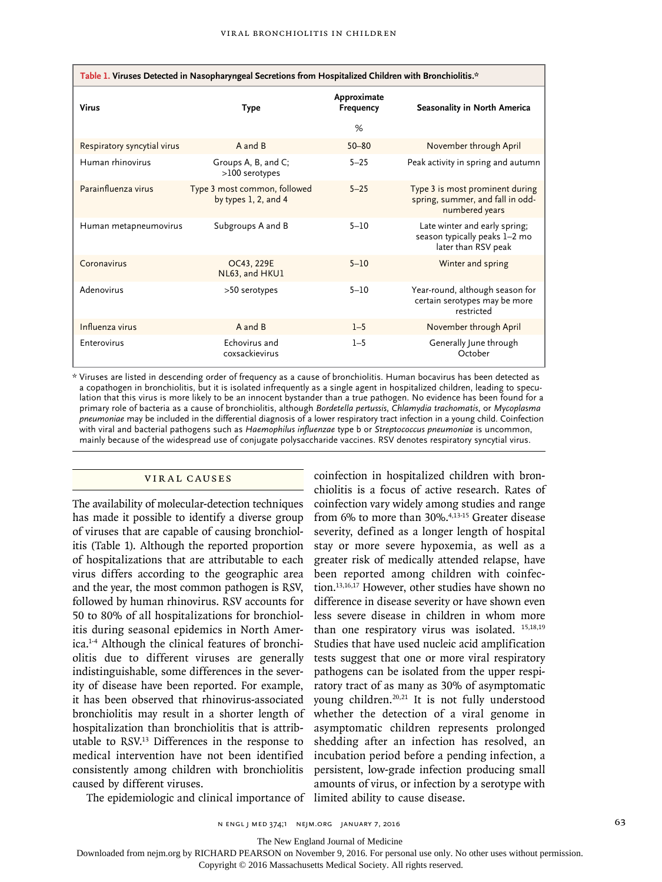| Table 1. Viruses Detected in Nasopharyngeal Secretions from Hospitalized Children with Bronchiolitis.* |                                                      |                          |                                                                                       |  |  |
|--------------------------------------------------------------------------------------------------------|------------------------------------------------------|--------------------------|---------------------------------------------------------------------------------------|--|--|
| <b>Virus</b>                                                                                           | Type                                                 | Approximate<br>Frequency | Seasonality in North America                                                          |  |  |
|                                                                                                        |                                                      | %                        |                                                                                       |  |  |
| Respiratory syncytial virus                                                                            | A and B                                              | $50 - 80$                | November through April                                                                |  |  |
| Human rhinovirus                                                                                       | Groups A, B, and C;<br>$>100$ serotypes              | $5 - 25$                 | Peak activity in spring and autumn                                                    |  |  |
| Parainfluenza virus                                                                                    | Type 3 most common, followed<br>by types 1, 2, and 4 | $5 - 25$                 | Type 3 is most prominent during<br>spring, summer, and fall in odd-<br>numbered years |  |  |
| Human metapneumovirus                                                                                  | Subgroups A and B                                    | $5 - 10$                 | Late winter and early spring;<br>season typically peaks 1-2 mo<br>later than RSV peak |  |  |
| Coronavirus                                                                                            | OC43, 229E<br>NL63, and HKU1                         | $5 - 10$                 | Winter and spring                                                                     |  |  |
| Adenovirus                                                                                             | >50 serotypes                                        | $5 - 10$                 | Year-round, although season for<br>certain serotypes may be more<br>restricted        |  |  |
| Influenza virus                                                                                        | A and B                                              | $1 - 5$                  | November through April                                                                |  |  |
| Enterovirus                                                                                            | Echovirus and<br>coxsackievirus                      | $1 - 5$                  | Generally June through<br>October                                                     |  |  |

\* Viruses are listed in descending order of frequency as a cause of bronchiolitis. Human bocavirus has been detected as a copathogen in bronchiolitis, but it is isolated infrequently as a single agent in hospitalized children, leading to speculation that this virus is more likely to be an innocent bystander than a true pathogen. No evidence has been found for a primary role of bacteria as a cause of bronchiolitis, although *Bordetella pertussis*, *Chlamydia trachomatis*, or *Mycoplasma pneumoniae* may be included in the differential diagnosis of a lower respiratory tract infection in a young child. Coinfection with viral and bacterial pathogens such as *Haemophilus influenzae* type b or *Streptococcus pneumoniae* is uncommon, mainly because of the widespread use of conjugate polysaccharide vaccines. RSV denotes respiratory syncytial virus.

## Viral Causes

The availability of molecular-detection techniques has made it possible to identify a diverse group of viruses that are capable of causing bronchiolitis (Table 1). Although the reported proportion of hospitalizations that are attributable to each virus differs according to the geographic area and the year, the most common pathogen is RSV, followed by human rhinovirus. RSV accounts for 50 to 80% of all hospitalizations for bronchiolitis during seasonal epidemics in North America.1-4 Although the clinical features of bronchiolitis due to different viruses are generally indistinguishable, some differences in the severity of disease have been reported. For example, it has been observed that rhinovirus-associated bronchiolitis may result in a shorter length of hospitalization than bronchiolitis that is attributable to RSV.13 Differences in the response to medical intervention have not been identified consistently among children with bronchiolitis caused by different viruses.

coinfection in hospitalized children with bronchiolitis is a focus of active research. Rates of coinfection vary widely among studies and range from 6% to more than 30%.<sup>4,13-15</sup> Greater disease severity, defined as a longer length of hospital stay or more severe hypoxemia, as well as a greater risk of medically attended relapse, have been reported among children with coinfection.13,16,17 However, other studies have shown no difference in disease severity or have shown even less severe disease in children in whom more than one respiratory virus was isolated. 15,18,19 Studies that have used nucleic acid amplification tests suggest that one or more viral respiratory pathogens can be isolated from the upper respiratory tract of as many as 30% of asymptomatic young children.20,21 It is not fully understood whether the detection of a viral genome in asymptomatic children represents prolonged shedding after an infection has resolved, an incubation period before a pending infection, a persistent, low-grade infection producing small amounts of virus, or infection by a serotype with

The epidemiologic and clinical importance of limited ability to cause disease.

The New England Journal of Medicine

Downloaded from nejm.org by RICHARD PEARSON on November 9, 2016. For personal use only. No other uses without permission.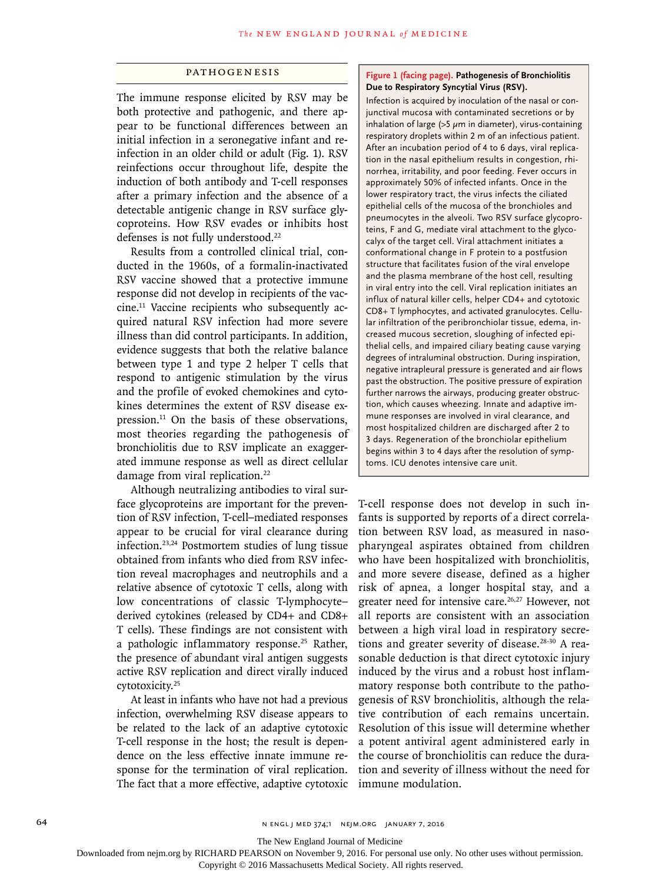## Pathogenesis

The immune response elicited by RSV may be both protective and pathogenic, and there appear to be functional differences between an initial infection in a seronegative infant and reinfection in an older child or adult (Fig. 1). RSV reinfections occur throughout life, despite the induction of both antibody and T-cell responses after a primary infection and the absence of a detectable antigenic change in RSV surface glycoproteins. How RSV evades or inhibits host defenses is not fully understood.<sup>22</sup>

Results from a controlled clinical trial, conducted in the 1960s, of a formalin-inactivated RSV vaccine showed that a protective immune response did not develop in recipients of the vaccine.11 Vaccine recipients who subsequently acquired natural RSV infection had more severe illness than did control participants. In addition, evidence suggests that both the relative balance between type 1 and type 2 helper T cells that respond to antigenic stimulation by the virus and the profile of evoked chemokines and cytokines determines the extent of RSV disease expression.11 On the basis of these observations, most theories regarding the pathogenesis of bronchiolitis due to RSV implicate an exaggerated immune response as well as direct cellular damage from viral replication.<sup>22</sup>

Although neutralizing antibodies to viral surface glycoproteins are important for the prevention of RSV infection, T-cell–mediated responses appear to be crucial for viral clearance during infection.23,24 Postmortem studies of lung tissue obtained from infants who died from RSV infection reveal macrophages and neutrophils and a relative absence of cytotoxic T cells, along with low concentrations of classic T-lymphocyte– derived cytokines (released by CD4+ and CD8+ T cells). These findings are not consistent with a pathologic inflammatory response.<sup>25</sup> Rather, the presence of abundant viral antigen suggests active RSV replication and direct virally induced cytotoxicity.25

At least in infants who have not had a previous infection, overwhelming RSV disease appears to be related to the lack of an adaptive cytotoxic T-cell response in the host; the result is dependence on the less effective innate immune response for the termination of viral replication. The fact that a more effective, adaptive cytotoxic

## **Figure 1 (facing page). Pathogenesis of Bronchiolitis Due to Respiratory Syncytial Virus (RSV).**

Infection is acquired by inoculation of the nasal or conjunctival mucosa with contaminated secretions or by inhalation of large (>5 *μ*m in diameter), virus-containing respiratory droplets within 2 m of an infectious patient. After an incubation period of 4 to 6 days, viral replication in the nasal epithelium results in congestion, rhinorrhea, irritability, and poor feeding. Fever occurs in approximately 50% of infected infants. Once in the lower respiratory tract, the virus infects the ciliated epithelial cells of the mucosa of the bronchioles and pneumocytes in the alveoli. Two RSV surface glycoproteins, F and G, mediate viral attachment to the glycocalyx of the target cell. Viral attachment initiates a conformational change in F protein to a postfusion structure that facilitates fusion of the viral envelope and the plasma membrane of the host cell, resulting in viral entry into the cell. Viral replication initiates an influx of natural killer cells, helper CD4+ and cytotoxic CD8+ T lymphocytes, and activated granulocytes. Cellular infiltration of the peribronchiolar tissue, edema, increased mucous secretion, sloughing of infected epithelial cells, and impaired ciliary beating cause varying degrees of intraluminal obstruction. During inspiration, negative intrapleural pressure is generated and air flows past the obstruction. The positive pressure of expiration further narrows the airways, producing greater obstruction, which causes wheezing. Innate and adaptive immune responses are involved in viral clearance, and most hospitalized children are discharged after 2 to 3 days. Regeneration of the bronchiolar epithelium begins within 3 to 4 days after the resolution of symptoms. ICU denotes intensive care unit.

T-cell response does not develop in such infants is supported by reports of a direct correlation between RSV load, as measured in nasopharyngeal aspirates obtained from children who have been hospitalized with bronchiolitis, and more severe disease, defined as a higher risk of apnea, a longer hospital stay, and a greater need for intensive care.<sup>26,27</sup> However, not all reports are consistent with an association between a high viral load in respiratory secretions and greater severity of disease.<sup>28-30</sup> A reasonable deduction is that direct cytotoxic injury induced by the virus and a robust host inflammatory response both contribute to the pathogenesis of RSV bronchiolitis, although the relative contribution of each remains uncertain. Resolution of this issue will determine whether a potent antiviral agent administered early in the course of bronchiolitis can reduce the duration and severity of illness without the need for immune modulation.

The New England Journal of Medicine

Downloaded from nejm.org by RICHARD PEARSON on November 9, 2016. For personal use only. No other uses without permission.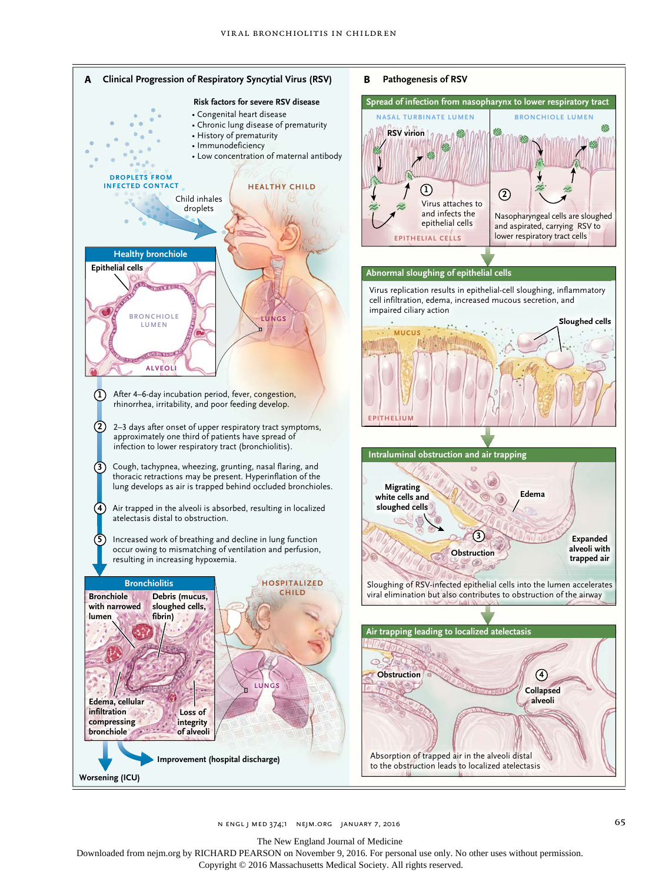

n engl j med 374;1 nejm.org January 7, 2016 65

The New England Journal of Medicine

Downloaded from nejm.org by RICHARD PEARSON on November 9, 2016. For personal use only. No other uses without permission.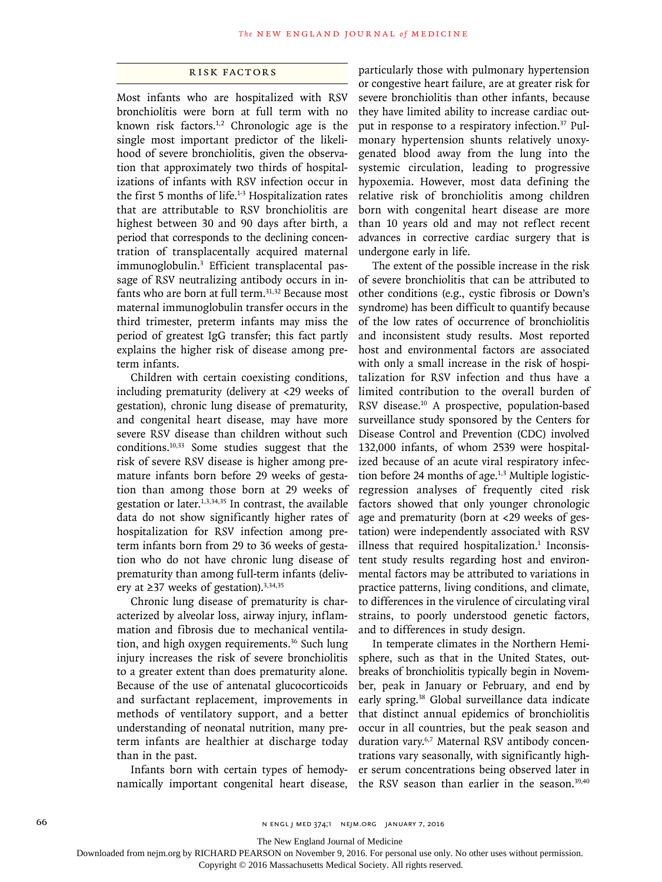## Risk Factors

Most infants who are hospitalized with RSV bronchiolitis were born at full term with no known risk factors.<sup>1,2</sup> Chronologic age is the single most important predictor of the likelihood of severe bronchiolitis, given the observation that approximately two thirds of hospitalizations of infants with RSV infection occur in the first 5 months of life.<sup>1-3</sup> Hospitalization rates that are attributable to RSV bronchiolitis are highest between 30 and 90 days after birth, a period that corresponds to the declining concentration of transplacentally acquired maternal immunoglobulin.3 Efficient transplacental passage of RSV neutralizing antibody occurs in infants who are born at full term.<sup>31,32</sup> Because most maternal immunoglobulin transfer occurs in the third trimester, preterm infants may miss the period of greatest IgG transfer; this fact partly explains the higher risk of disease among preterm infants.

Children with certain coexisting conditions, including prematurity (delivery at <29 weeks of gestation), chronic lung disease of prematurity, and congenital heart disease, may have more severe RSV disease than children without such conditions.10,33 Some studies suggest that the risk of severe RSV disease is higher among premature infants born before 29 weeks of gestation than among those born at 29 weeks of gestation or later.1,3,34,35 In contrast, the available data do not show significantly higher rates of hospitalization for RSV infection among preterm infants born from 29 to 36 weeks of gestation who do not have chronic lung disease of prematurity than among full-term infants (delivery at  $\geq$ 37 weeks of gestation).<sup>3,34,35</sup>

Chronic lung disease of prematurity is characterized by alveolar loss, airway injury, inflammation and fibrosis due to mechanical ventilation, and high oxygen requirements.<sup>36</sup> Such lung injury increases the risk of severe bronchiolitis to a greater extent than does prematurity alone. Because of the use of antenatal glucocorticoids and surfactant replacement, improvements in methods of ventilatory support, and a better understanding of neonatal nutrition, many preterm infants are healthier at discharge today than in the past.

Infants born with certain types of hemodynamically important congenital heart disease, particularly those with pulmonary hypertension or congestive heart failure, are at greater risk for severe bronchiolitis than other infants, because they have limited ability to increase cardiac output in response to a respiratory infection.37 Pulmonary hypertension shunts relatively unoxygenated blood away from the lung into the systemic circulation, leading to progressive hypoxemia. However, most data defining the relative risk of bronchiolitis among children born with congenital heart disease are more than 10 years old and may not reflect recent advances in corrective cardiac surgery that is undergone early in life.

The extent of the possible increase in the risk of severe bronchiolitis that can be attributed to other conditions (e.g., cystic fibrosis or Down's syndrome) has been difficult to quantify because of the low rates of occurrence of bronchiolitis and inconsistent study results. Most reported host and environmental factors are associated with only a small increase in the risk of hospitalization for RSV infection and thus have a limited contribution to the overall burden of RSV disease.10 A prospective, population-based surveillance study sponsored by the Centers for Disease Control and Prevention (CDC) involved 132,000 infants, of whom 2539 were hospitalized because of an acute viral respiratory infection before 24 months of age. $1,3$  Multiple logisticregression analyses of frequently cited risk factors showed that only younger chronologic age and prematurity (born at <29 weeks of gestation) were independently associated with RSV illness that required hospitalization. $1$  Inconsistent study results regarding host and environmental factors may be attributed to variations in practice patterns, living conditions, and climate, to differences in the virulence of circulating viral strains, to poorly understood genetic factors, and to differences in study design.

In temperate climates in the Northern Hemisphere, such as that in the United States, outbreaks of bronchiolitis typically begin in November, peak in January or February, and end by early spring.<sup>38</sup> Global surveillance data indicate that distinct annual epidemics of bronchiolitis occur in all countries, but the peak season and duration vary.6,7 Maternal RSV antibody concentrations vary seasonally, with significantly higher serum concentrations being observed later in the RSV season than earlier in the season.<sup>39,40</sup>

The New England Journal of Medicine

Downloaded from nejm.org by RICHARD PEARSON on November 9, 2016. For personal use only. No other uses without permission.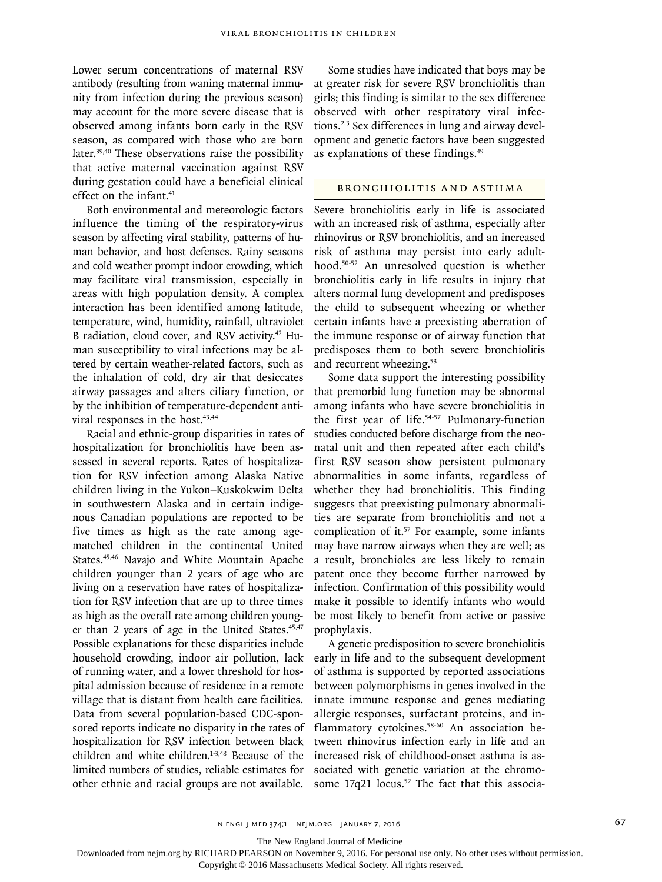Lower serum concentrations of maternal RSV antibody (resulting from waning maternal immunity from infection during the previous season) may account for the more severe disease that is observed among infants born early in the RSV season, as compared with those who are born later.39,40 These observations raise the possibility that active maternal vaccination against RSV during gestation could have a beneficial clinical effect on the infant.<sup>41</sup>

Both environmental and meteorologic factors influence the timing of the respiratory-virus season by affecting viral stability, patterns of human behavior, and host defenses. Rainy seasons and cold weather prompt indoor crowding, which may facilitate viral transmission, especially in areas with high population density. A complex interaction has been identified among latitude, temperature, wind, humidity, rainfall, ultraviolet B radiation, cloud cover, and RSV activity.42 Human susceptibility to viral infections may be altered by certain weather-related factors, such as the inhalation of cold, dry air that desiccates airway passages and alters ciliary function, or by the inhibition of temperature-dependent antiviral responses in the host.<sup>43,44</sup>

Racial and ethnic-group disparities in rates of hospitalization for bronchiolitis have been assessed in several reports. Rates of hospitalization for RSV infection among Alaska Native children living in the Yukon–Kuskokwim Delta in southwestern Alaska and in certain indigenous Canadian populations are reported to be five times as high as the rate among agematched children in the continental United States.45,46 Navajo and White Mountain Apache children younger than 2 years of age who are living on a reservation have rates of hospitalization for RSV infection that are up to three times as high as the overall rate among children younger than 2 years of age in the United States.<sup>45,47</sup> Possible explanations for these disparities include household crowding, indoor air pollution, lack of running water, and a lower threshold for hospital admission because of residence in a remote village that is distant from health care facilities. Data from several population-based CDC-sponsored reports indicate no disparity in the rates of hospitalization for RSV infection between black children and white children.<sup>1-3,48</sup> Because of the limited numbers of studies, reliable estimates for other ethnic and racial groups are not available.

Some studies have indicated that boys may be at greater risk for severe RSV bronchiolitis than girls; this finding is similar to the sex difference observed with other respiratory viral infections.2,3 Sex differences in lung and airway development and genetic factors have been suggested as explanations of these findings.49

# Bronchiolitis and Asthma

Severe bronchiolitis early in life is associated with an increased risk of asthma, especially after rhinovirus or RSV bronchiolitis, and an increased risk of asthma may persist into early adulthood.50-52 An unresolved question is whether bronchiolitis early in life results in injury that alters normal lung development and predisposes the child to subsequent wheezing or whether certain infants have a preexisting aberration of the immune response or of airway function that predisposes them to both severe bronchiolitis and recurrent wheezing.<sup>53</sup>

Some data support the interesting possibility that premorbid lung function may be abnormal among infants who have severe bronchiolitis in the first year of life.54-57 Pulmonary-function studies conducted before discharge from the neonatal unit and then repeated after each child's first RSV season show persistent pulmonary abnormalities in some infants, regardless of whether they had bronchiolitis. This finding suggests that preexisting pulmonary abnormalities are separate from bronchiolitis and not a complication of it.57 For example, some infants may have narrow airways when they are well; as a result, bronchioles are less likely to remain patent once they become further narrowed by infection. Confirmation of this possibility would make it possible to identify infants who would be most likely to benefit from active or passive prophylaxis.

A genetic predisposition to severe bronchiolitis early in life and to the subsequent development of asthma is supported by reported associations between polymorphisms in genes involved in the innate immune response and genes mediating allergic responses, surfactant proteins, and inflammatory cytokines.<sup>58-60</sup> An association between rhinovirus infection early in life and an increased risk of childhood-onset asthma is associated with genetic variation at the chromosome 17q21 locus.<sup>52</sup> The fact that this associa-

The New England Journal of Medicine

Downloaded from nejm.org by RICHARD PEARSON on November 9, 2016. For personal use only. No other uses without permission.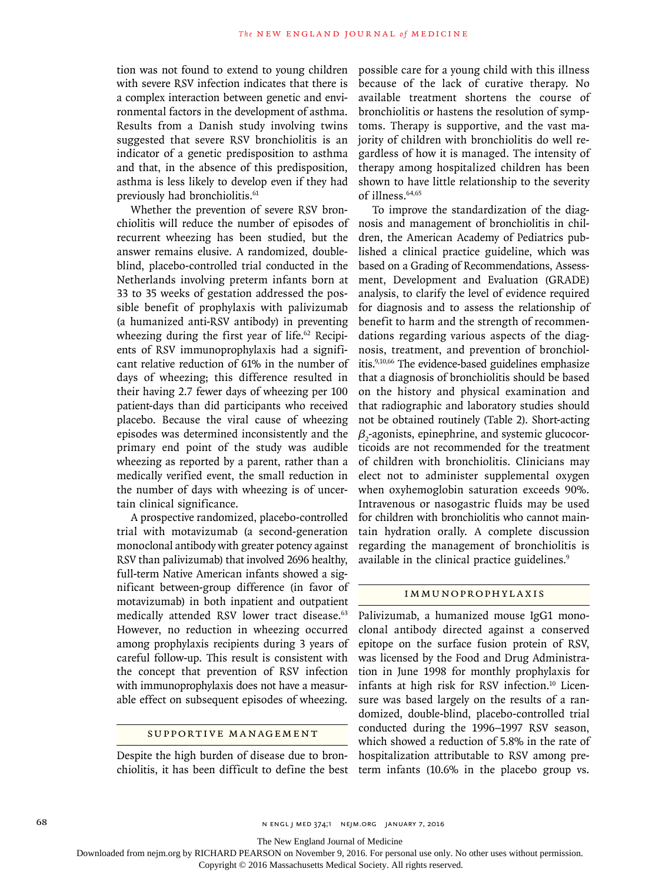tion was not found to extend to young children with severe RSV infection indicates that there is a complex interaction between genetic and environmental factors in the development of asthma. Results from a Danish study involving twins suggested that severe RSV bronchiolitis is an indicator of a genetic predisposition to asthma and that, in the absence of this predisposition, asthma is less likely to develop even if they had previously had bronchiolitis.<sup>61</sup>

Whether the prevention of severe RSV bronchiolitis will reduce the number of episodes of recurrent wheezing has been studied, but the answer remains elusive. A randomized, doubleblind, placebo-controlled trial conducted in the Netherlands involving preterm infants born at 33 to 35 weeks of gestation addressed the possible benefit of prophylaxis with palivizumab (a humanized anti-RSV antibody) in preventing wheezing during the first year of life. $62$  Recipients of RSV immunoprophylaxis had a significant relative reduction of 61% in the number of days of wheezing; this difference resulted in their having 2.7 fewer days of wheezing per 100 patient-days than did participants who received placebo. Because the viral cause of wheezing episodes was determined inconsistently and the primary end point of the study was audible wheezing as reported by a parent, rather than a medically verified event, the small reduction in the number of days with wheezing is of uncertain clinical significance.

A prospective randomized, placebo-controlled trial with motavizumab (a second-generation monoclonal antibody with greater potency against RSV than palivizumab) that involved 2696 healthy, full-term Native American infants showed a significant between-group difference (in favor of motavizumab) in both inpatient and outpatient medically attended RSV lower tract disease.<sup>63</sup> However, no reduction in wheezing occurred among prophylaxis recipients during 3 years of careful follow-up. This result is consistent with the concept that prevention of RSV infection with immunoprophylaxis does not have a measurable effect on subsequent episodes of wheezing.

## Supportive Management

Despite the high burden of disease due to bronchiolitis, it has been difficult to define the best possible care for a young child with this illness because of the lack of curative therapy. No available treatment shortens the course of bronchiolitis or hastens the resolution of symptoms. Therapy is supportive, and the vast majority of children with bronchiolitis do well regardless of how it is managed. The intensity of therapy among hospitalized children has been shown to have little relationship to the severity of illness.64,65

To improve the standardization of the diagnosis and management of bronchiolitis in children, the American Academy of Pediatrics published a clinical practice guideline, which was based on a Grading of Recommendations, Assessment, Development and Evaluation (GRADE) analysis, to clarify the level of evidence required for diagnosis and to assess the relationship of benefit to harm and the strength of recommendations regarding various aspects of the diagnosis, treatment, and prevention of bronchiolitis.9,10,66 The evidence-based guidelines emphasize that a diagnosis of bronchiolitis should be based on the history and physical examination and that radiographic and laboratory studies should not be obtained routinely (Table 2). Short-acting  $\beta_2$ -agonists, epinephrine, and systemic glucocorticoids are not recommended for the treatment of children with bronchiolitis. Clinicians may elect not to administer supplemental oxygen when oxyhemoglobin saturation exceeds 90%. Intravenous or nasogastric fluids may be used for children with bronchiolitis who cannot maintain hydration orally. A complete discussion regarding the management of bronchiolitis is available in the clinical practice guidelines.<sup>9</sup>

## Immunoprophylaxis

Palivizumab, a humanized mouse IgG1 monoclonal antibody directed against a conserved epitope on the surface fusion protein of RSV, was licensed by the Food and Drug Administration in June 1998 for monthly prophylaxis for infants at high risk for RSV infection.10 Licensure was based largely on the results of a randomized, double-blind, placebo-controlled trial conducted during the 1996–1997 RSV season, which showed a reduction of 5.8% in the rate of hospitalization attributable to RSV among preterm infants (10.6% in the placebo group vs.

68 **68 n ENGL j MED 374;1 NEJM.ORG JANUARY 7, 2016** 

The New England Journal of Medicine

Downloaded from nejm.org by RICHARD PEARSON on November 9, 2016. For personal use only. No other uses without permission.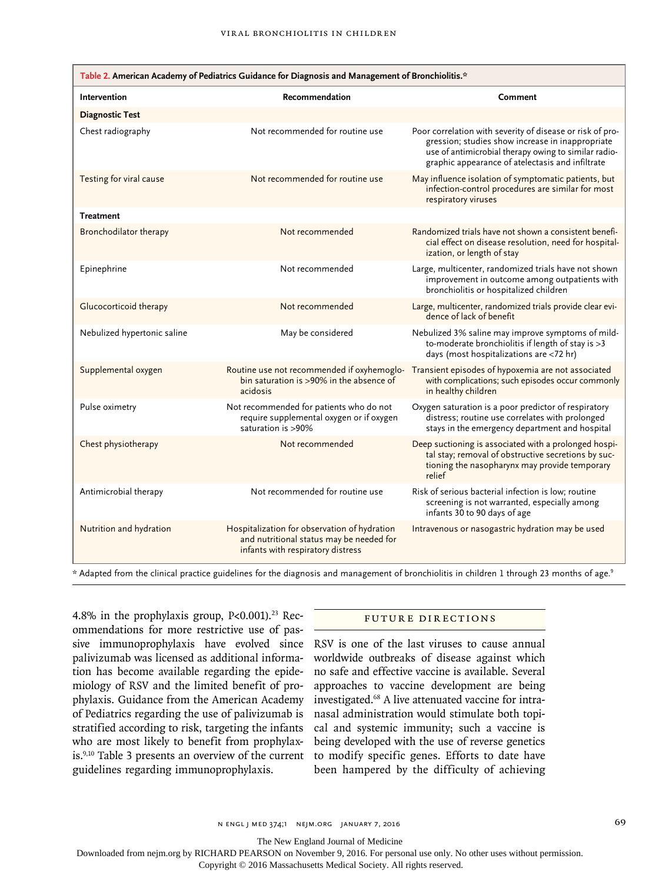| Table 2. American Academy of Pediatrics Guidance for Diagnosis and Management of Bronchiolitis.* |                                                                                                                               |                                                                                                                                                                                                                           |  |  |
|--------------------------------------------------------------------------------------------------|-------------------------------------------------------------------------------------------------------------------------------|---------------------------------------------------------------------------------------------------------------------------------------------------------------------------------------------------------------------------|--|--|
| Intervention                                                                                     | Recommendation                                                                                                                | Comment                                                                                                                                                                                                                   |  |  |
| <b>Diagnostic Test</b>                                                                           |                                                                                                                               |                                                                                                                                                                                                                           |  |  |
| Chest radiography                                                                                | Not recommended for routine use                                                                                               | Poor correlation with severity of disease or risk of pro-<br>gression; studies show increase in inappropriate<br>use of antimicrobial therapy owing to similar radio-<br>graphic appearance of atelectasis and infiltrate |  |  |
| Testing for viral cause                                                                          | Not recommended for routine use                                                                                               | May influence isolation of symptomatic patients, but<br>infection-control procedures are similar for most<br>respiratory viruses                                                                                          |  |  |
| <b>Treatment</b>                                                                                 |                                                                                                                               |                                                                                                                                                                                                                           |  |  |
| Bronchodilator therapy                                                                           | Not recommended                                                                                                               | Randomized trials have not shown a consistent benefi-<br>cial effect on disease resolution, need for hospital-<br>ization, or length of stay                                                                              |  |  |
| Epinephrine                                                                                      | Not recommended                                                                                                               | Large, multicenter, randomized trials have not shown<br>improvement in outcome among outpatients with<br>bronchiolitis or hospitalized children                                                                           |  |  |
| Glucocorticoid therapy                                                                           | Not recommended                                                                                                               | Large, multicenter, randomized trials provide clear evi-<br>dence of lack of benefit                                                                                                                                      |  |  |
| Nebulized hypertonic saline                                                                      | May be considered                                                                                                             | Nebulized 3% saline may improve symptoms of mild-<br>to-moderate bronchiolitis if length of stay is >3<br>days (most hospitalizations are <72 hr)                                                                         |  |  |
| Supplemental oxygen                                                                              | Routine use not recommended if oxyhemoglo-<br>bin saturation is >90% in the absence of<br>acidosis                            | Transient episodes of hypoxemia are not associated<br>with complications; such episodes occur commonly<br>in healthy children                                                                                             |  |  |
| Pulse oximetry                                                                                   | Not recommended for patients who do not<br>require supplemental oxygen or if oxygen<br>saturation is >90%                     | Oxygen saturation is a poor predictor of respiratory<br>distress; routine use correlates with prolonged<br>stays in the emergency department and hospital                                                                 |  |  |
| Chest physiotherapy                                                                              | Not recommended                                                                                                               | Deep suctioning is associated with a prolonged hospi-<br>tal stay; removal of obstructive secretions by suc-<br>tioning the nasopharynx may provide temporary<br>relief                                                   |  |  |
| Antimicrobial therapy                                                                            | Not recommended for routine use                                                                                               | Risk of serious bacterial infection is low; routine<br>screening is not warranted, especially among<br>infants 30 to 90 days of age                                                                                       |  |  |
| Nutrition and hydration                                                                          | Hospitalization for observation of hydration<br>and nutritional status may be needed for<br>infants with respiratory distress | Intravenous or nasogastric hydration may be used                                                                                                                                                                          |  |  |
|                                                                                                  |                                                                                                                               |                                                                                                                                                                                                                           |  |  |

\* Adapted from the clinical practice guidelines for the diagnosis and management of bronchiolitis in children 1 through 23 months of age.9

4.8% in the prophylaxis group,  $P<0.001$ ).<sup>23</sup> Recommendations for more restrictive use of passive immunoprophylaxis have evolved since palivizumab was licensed as additional information has become available regarding the epidemiology of RSV and the limited benefit of prophylaxis. Guidance from the American Academy of Pediatrics regarding the use of palivizumab is stratified according to risk, targeting the infants who are most likely to benefit from prophylaxis.9,10 Table 3 presents an overview of the current guidelines regarding immunoprophylaxis.

# Future Directions

RSV is one of the last viruses to cause annual worldwide outbreaks of disease against which no safe and effective vaccine is available. Several approaches to vaccine development are being investigated.68 A live attenuated vaccine for intranasal administration would stimulate both topical and systemic immunity; such a vaccine is being developed with the use of reverse genetics to modify specific genes. Efforts to date have been hampered by the difficulty of achieving

n engl j med 374;1 nejm.org January 7, 2016 69

The New England Journal of Medicine

Downloaded from nejm.org by RICHARD PEARSON on November 9, 2016. For personal use only. No other uses without permission.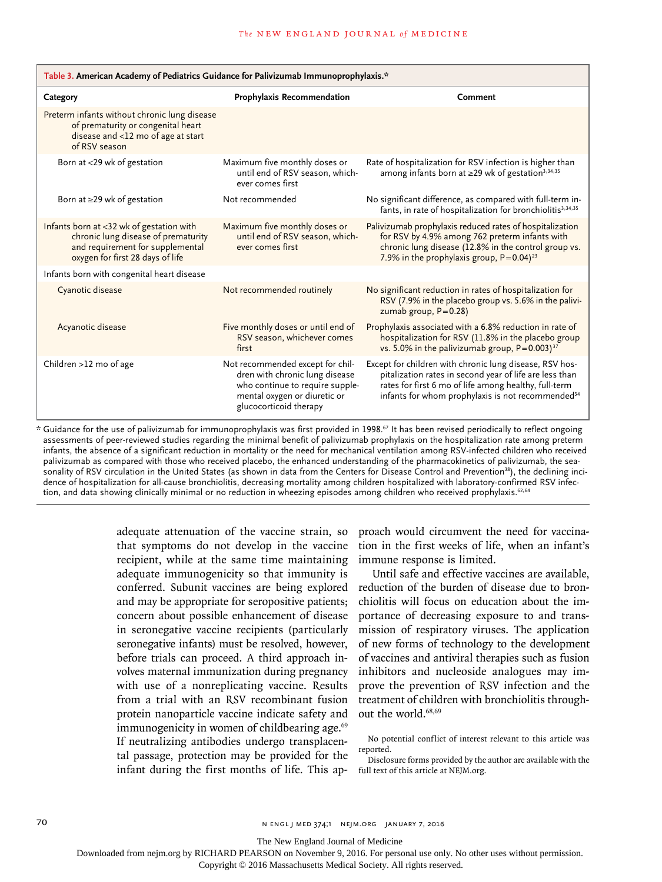| Table 3. American Academy of Pediatrics Guidance for Palivizumab Immunoprophylaxis.*                                                                    |                                                                                                                                                                 |                                                                                                                                                                                                                                              |  |  |
|---------------------------------------------------------------------------------------------------------------------------------------------------------|-----------------------------------------------------------------------------------------------------------------------------------------------------------------|----------------------------------------------------------------------------------------------------------------------------------------------------------------------------------------------------------------------------------------------|--|--|
| Category                                                                                                                                                | Prophylaxis Recommendation                                                                                                                                      | Comment                                                                                                                                                                                                                                      |  |  |
| Preterm infants without chronic lung disease<br>of prematurity or congenital heart<br>disease and <12 mo of age at start<br>of RSV season               |                                                                                                                                                                 |                                                                                                                                                                                                                                              |  |  |
| Born at <29 wk of gestation                                                                                                                             | Maximum five monthly doses or<br>until end of RSV season, which-<br>ever comes first                                                                            | Rate of hospitalization for RSV infection is higher than<br>among infants born at $\geq$ 29 wk of gestation <sup>3,34,35</sup>                                                                                                               |  |  |
| Born at $\geq$ 29 wk of gestation                                                                                                                       | Not recommended                                                                                                                                                 | No significant difference, as compared with full-term in-<br>fants, in rate of hospitalization for bronchiolitis <sup>3,34,35</sup>                                                                                                          |  |  |
| Infants born at <32 wk of gestation with<br>chronic lung disease of prematurity<br>and requirement for supplemental<br>oxygen for first 28 days of life | Maximum five monthly doses or<br>until end of RSV season, which-<br>ever comes first                                                                            | Palivizumab prophylaxis reduced rates of hospitalization<br>for RSV by 4.9% among 762 preterm infants with<br>chronic lung disease (12.8% in the control group vs.<br>7.9% in the prophylaxis group, $P = 0.04$ <sup>23</sup>                |  |  |
| Infants born with congenital heart disease                                                                                                              |                                                                                                                                                                 |                                                                                                                                                                                                                                              |  |  |
| Cyanotic disease                                                                                                                                        | Not recommended routinely                                                                                                                                       | No significant reduction in rates of hospitalization for<br>RSV (7.9% in the placebo group vs. 5.6% in the palivi-<br>zumab group, $P = 0.28$                                                                                                |  |  |
| Acyanotic disease                                                                                                                                       | Five monthly doses or until end of<br>RSV season, whichever comes<br>first                                                                                      | Prophylaxis associated with a 6.8% reduction in rate of<br>hospitalization for RSV (11.8% in the placebo group<br>vs. 5.0% in the palivizumab group, $P = 0.003$ ) <sup>37</sup>                                                             |  |  |
| Children >12 mo of age                                                                                                                                  | Not recommended except for chil-<br>dren with chronic lung disease<br>who continue to require supple-<br>mental oxygen or diuretic or<br>glucocorticoid therapy | Except for children with chronic lung disease, RSV hos-<br>pitalization rates in second year of life are less than<br>rates for first 6 mo of life among healthy, full-term<br>infants for whom prophylaxis is not recommended <sup>34</sup> |  |  |

\* Guidance for the use of palivizumab for immunoprophylaxis was first provided in 1998.67 It has been revised periodically to reflect ongoing assessments of peer-reviewed studies regarding the minimal benefit of palivizumab prophylaxis on the hospitalization rate among preterm infants, the absence of a significant reduction in mortality or the need for mechanical ventilation among RSV-infected children who received palivizumab as compared with those who received placebo, the enhanced understanding of the pharmacokinetics of palivizumab, the seasonality of RSV circulation in the United States (as shown in data from the Centers for Disease Control and Prevention38), the declining incidence of hospitalization for all-cause bronchiolitis, decreasing mortality among children hospitalized with laboratory-confirmed RSV infection, and data showing clinically minimal or no reduction in wheezing episodes among children who received prophylaxis.<sup>62,64</sup>

> adequate attenuation of the vaccine strain, so that symptoms do not develop in the vaccine recipient, while at the same time maintaining adequate immunogenicity so that immunity is conferred. Subunit vaccines are being explored and may be appropriate for seropositive patients; concern about possible enhancement of disease in seronegative vaccine recipients (particularly seronegative infants) must be resolved, however, before trials can proceed. A third approach involves maternal immunization during pregnancy with use of a nonreplicating vaccine. Results from a trial with an RSV recombinant fusion protein nanoparticle vaccine indicate safety and immunogenicity in women of childbearing age.<sup>69</sup> If neutralizing antibodies undergo transplacental passage, protection may be provided for the infant during the first months of life. This ap

proach would circumvent the need for vaccination in the first weeks of life, when an infant's immune response is limited.

Until safe and effective vaccines are available, reduction of the burden of disease due to bronchiolitis will focus on education about the importance of decreasing exposure to and transmission of respiratory viruses. The application of new forms of technology to the development of vaccines and antiviral therapies such as fusion inhibitors and nucleoside analogues may improve the prevention of RSV infection and the treatment of children with bronchiolitis throughout the world.68,69

No potential conflict of interest relevant to this article was reported.

Disclosure forms provided by the author are available with the full text of this article at NEJM.org.

The New England Journal of Medicine

Downloaded from nejm.org by RICHARD PEARSON on November 9, 2016. For personal use only. No other uses without permission.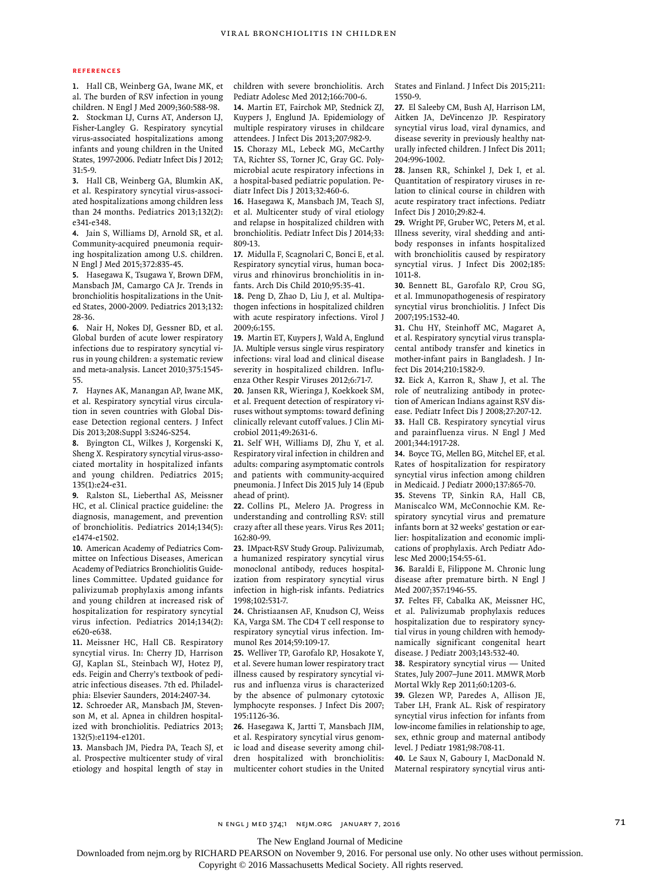### **References**

**1.** Hall CB, Weinberg GA, Iwane MK, et al. The burden of RSV infection in young children. N Engl J Med 2009;360:588-98. **2.** Stockman LJ, Curns AT, Anderson LJ, Fisher-Langley G. Respiratory syncytial virus-associated hospitalizations among infants and young children in the United States, 1997-2006. Pediatr Infect Dis J 2012; 31:5-9.

**3.** Hall CB, Weinberg GA, Blumkin AK, et al. Respiratory syncytial virus-associated hospitalizations among children less than 24 months. Pediatrics 2013;132(2): e341-e348.

**4.** Jain S, Williams DJ, Arnold SR, et al. Community-acquired pneumonia requiring hospitalization among U.S. children. N Engl J Med 2015;372:835-45.

**5.** Hasegawa K, Tsugawa Y, Brown DFM, Mansbach JM, Camargo CA Jr. Trends in bronchiolitis hospitalizations in the United States, 2000-2009. Pediatrics 2013;132: 28-36.

**6.** Nair H, Nokes DJ, Gessner BD, et al. Global burden of acute lower respiratory infections due to respiratory syncytial virus in young children: a systematic review and meta-analysis. Lancet 2010;375:1545- 55.

**7.** Haynes AK, Manangan AP, Iwane MK, et al. Respiratory syncytial virus circulation in seven countries with Global Disease Detection regional centers. J Infect Dis 2013;208:Suppl 3:S246-S254.

**8.** Byington CL, Wilkes J, Korgenski K, Sheng X. Respiratory syncytial virus-associated mortality in hospitalized infants and young children. Pediatrics 2015; 135(1):e24-e31.

**9.** Ralston SL, Lieberthal AS, Meissner HC, et al. Clinical practice guideline: the diagnosis, management, and prevention of bronchiolitis. Pediatrics 2014;134(5): e1474-e1502.

**10.** American Academy of Pediatrics Committee on Infectious Diseases, American Academy of Pediatrics Bronchiolitis Guidelines Committee. Updated guidance for palivizumab prophylaxis among infants and young children at increased risk of hospitalization for respiratory syncytial virus infection. Pediatrics 2014;134(2): e620-e638.

**11.** Meissner HC, Hall CB. Respiratory syncytial virus. In: Cherry JD, Harrison GJ, Kaplan SL, Steinbach WJ, Hotez PJ, eds. Feigin and Cherry's textbook of pediatric infectious diseases. 7th ed. Philadelphia: Elsevier Saunders, 2014:2407-34.

**12.** Schroeder AR, Mansbach JM, Stevenson M, et al. Apnea in children hospitalized with bronchiolitis. Pediatrics 2013; 132(5):e1194-e1201.

**13.** Mansbach JM, Piedra PA, Teach SJ, et al. Prospective multicenter study of viral etiology and hospital length of stay in children with severe bronchiolitis. Arch Pediatr Adolesc Med 2012;166:700-6.

**14.** Martin ET, Fairchok MP, Stednick ZJ, Kuypers J, Englund JA. Epidemiology of multiple respiratory viruses in childcare attendees. J Infect Dis 2013;207:982-9.

**15.** Chorazy ML, Lebeck MG, McCarthy TA, Richter SS, Torner JC, Gray GC. Polymicrobial acute respiratory infections in a hospital-based pediatric population. Pediatr Infect Dis J 2013;32:460-6.

**16.** Hasegawa K, Mansbach JM, Teach SJ, et al. Multicenter study of viral etiology and relapse in hospitalized children with bronchiolitis. Pediatr Infect Dis J 2014;33: 809-13.

**17.** Midulla F, Scagnolari C, Bonci E, et al. Respiratory syncytial virus, human bocavirus and rhinovirus bronchiolitis in infants. Arch Dis Child 2010;95:35-41.

**18.** Peng D, Zhao D, Liu J, et al. Multipathogen infections in hospitalized children with acute respiratory infections. Virol J 2009;6:155.

**19.** Martin ET, Kuypers J, Wald A, Englund JA. Multiple versus single virus respiratory infections: viral load and clinical disease severity in hospitalized children. Influenza Other Respir Viruses 2012;6:71-7.

**20.** Jansen RR, Wieringa J, Koekkoek SM, et al. Frequent detection of respiratory viruses without symptoms: toward defining clinically relevant cutoff values. J Clin Microbiol 2011;49:2631-6.

**21.** Self WH, Williams DJ, Zhu Y, et al. Respiratory viral infection in children and adults: comparing asymptomatic controls and patients with community-acquired pneumonia. J Infect Dis 2015 July 14 (Epub ahead of print).

**22.** Collins PL, Melero JA. Progress in understanding and controlling RSV: still crazy after all these years. Virus Res 2011; 162:80-99.

**23.** IMpact-RSV Study Group. Palivizumab, a humanized respiratory syncytial virus monoclonal antibody, reduces hospitalization from respiratory syncytial virus infection in high-risk infants. Pediatrics 1998;102:531-7.

**24.** Christiaansen AF, Knudson CJ, Weiss KA, Varga SM. The CD4 T cell response to respiratory syncytial virus infection. Immunol Res 2014;59:109-17.

**25.** Welliver TP, Garofalo RP, Hosakote Y, et al. Severe human lower respiratory tract illness caused by respiratory syncytial virus and influenza virus is characterized by the absence of pulmonary cytotoxic lymphocyte responses. J Infect Dis 2007; 195:1126-36.

**26.** Hasegawa K, Jartti T, Mansbach JIM, et al. Respiratory syncytial virus genomic load and disease severity among children hospitalized with bronchiolitis: multicenter cohort studies in the United States and Finland. J Infect Dis 2015;211: 1550-9.

**27.** El Saleeby CM, Bush AJ, Harrison LM, Aitken JA, DeVincenzo JP. Respiratory syncytial virus load, viral dynamics, and disease severity in previously healthy naturally infected children. J Infect Dis 2011; 204:996-1002.

**28.** Jansen RR, Schinkel J, Dek I, et al. Quantitation of respiratory viruses in relation to clinical course in children with acute respiratory tract infections. Pediatr Infect Dis J 2010;29:82-4.

**29.** Wright PF, Gruber WC, Peters M, et al. Illness severity, viral shedding and antibody responses in infants hospitalized with bronchiolitis caused by respiratory syncytial virus. J Infect Dis 2002;185: 1011-8.

**30.** Bennett BL, Garofalo RP, Crou SG, et al. Immunopathogenesis of respiratory syncytial virus bronchiolitis. J Infect Dis 2007;195:1532-40.

**31.** Chu HY, Steinhoff MC, Magaret A, et al. Respiratory syncytial virus transplacental antibody transfer and kinetics in mother-infant pairs in Bangladesh. J Infect Dis 2014;210:1582-9.

**32.** Eick A, Karron R, Shaw J, et al. The role of neutralizing antibody in protection of American Indians against RSV disease. Pediatr Infect Dis J 2008;27:207-12. **33.** Hall CB. Respiratory syncytial virus and parainfluenza virus. N Engl J Med 2001;344:1917-28.

**34.** Boyce TG, Mellen BG, Mitchel EF, et al. Rates of hospitalization for respiratory syncytial virus infection among children in Medicaid. J Pediatr 2000;137:865-70.

**35.** Stevens TP, Sinkin RA, Hall CB, Maniscalco WM, McConnochie KM. Respiratory syncytial virus and premature infants born at 32 weeks' gestation or earlier: hospitalization and economic implications of prophylaxis. Arch Pediatr Adolesc Med 2000;154:55-61.

**36.** Baraldi E, Filippone M. Chronic lung disease after premature birth. N Engl J Med 2007;357:1946-55.

**37.** Feltes FF, Cabalka AK, Meissner HC, et al. Palivizumab prophylaxis reduces hospitalization due to respiratory syncytial virus in young children with hemodynamically significant congenital heart disease. J Pediatr 2003;143:532-40.

**38.** Respiratory syncytial virus — United States, July 2007–June 2011. MMWR Morb Mortal Wkly Rep 2011;60:1203-6.

**39.** Glezen WP, Paredes A, Allison JE, Taber LH, Frank AL. Risk of respiratory syncytial virus infection for infants from low-income families in relationship to age, sex, ethnic group and maternal antibody level. J Pediatr 1981;98:708-11.

**40.** Le Saux N, Gaboury I, MacDonald N. Maternal respiratory syncytial virus anti-

n ENGL J MED 374;1 NEJM.ORG JANUARY 7, 2016 71

Downloaded from nejm.org by RICHARD PEARSON on November 9, 2016. For personal use only. No other uses without permission.